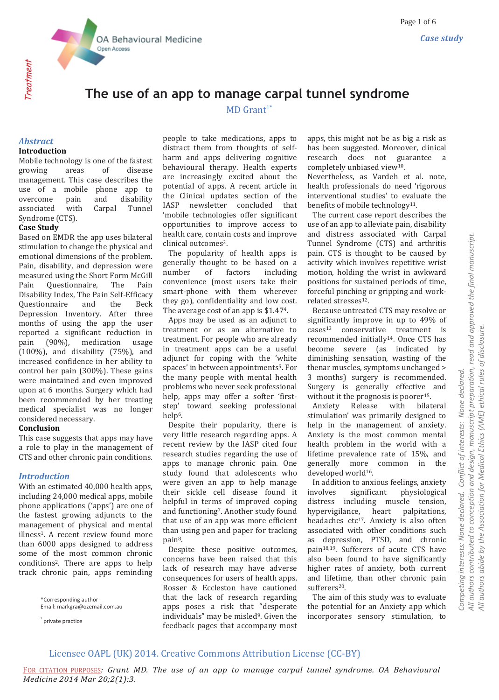

Treatment

# **The use of an app to manage carpal tunnel syndrome**

# $MD$  Grant<sup>1\*</sup>

#### *Abstract* **Introduction**

Mobile technology is one of the fastest growing areas of disease management. This case describes the use of a mobile phone app to overcome pain and disability associated with Carpal Tunnel Syndrome (CTS).

## **Case Study**

Based on EMDR the app uses bilateral stimulation to change the physical and emotional dimensions of the problem. Pain, disability, and depression were measured using the Short Form McGill Pain Questionnaire, The Pain Disability Index, The Pain Self-Efficacy Questionnaire and the Beck Depression Inventory. After three months of using the app the user reported a significant reduction in pain (90%), medication usage (100%), and disability (75%), and increased confidence in her ability to control her pain (300%). These gains were maintained and even improved upon at 6 months. Surgery which had been recommended by her treating medical specialist was no longer considered necessary.

#### **Conclusion**

This case suggests that apps may have a role to play in the management of CTS and other chronic pain conditions.

## *Introduction*

With an estimated 40,000 health apps, including 24,000 medical apps, mobile phone applications ('apps') are one of the fastest growing adjuncts to the management of physical and mental illness<sup>1</sup>. A recent review found more than 6000 apps designed to address some of the most common chronic conditions2. There are apps to help track chronic pain, apps reminding

> \*Corresponding author Email: markgra@ozemail.com.au

 $1$  private practice

people to take medications, apps to distract them from thoughts of selfharm and apps delivering cognitive behavioural therapy. Health experts are increasingly excited about the potential of apps. A recent article in the Clinical updates section of the IASP newsletter concluded that 'mobile technologies offer significant opportunities to improve access to health care, contain costs and improve clinical outcomes<sup>3</sup>.

 The popularity of health apps is generally thought to be based on a number of factors including convenience (most users take their smart-phone with them wherever they go), confidentiality and low cost. The average cost of an app is \$1.474.

 Apps may be used as an adjunct to treatment or as an alternative to treatment. For people who are already in treatment apps can be a useful adjunct for coping with the 'white spaces' in between appointments<sup>5</sup>. For the many people with mental health problems who never seek professional help, apps may offer a softer 'firststep' toward seeking professional help<sup>6</sup>.

 Despite their popularity, there is very little research regarding apps. A recent review by the IASP cited four research studies regarding the use of apps to manage chronic pain. One study found that adolescents who were given an app to help manage their sickle cell disease found it helpful in terms of improved coping and functioning7. Another study found that use of an app was more efficient than using pen and paper for tracking pain8.

 Despite these positive outcomes, concerns have been raised that this lack of research may have adverse consequences for users of health apps. Rosser & Eccleston have cautioned that the lack of research regarding apps poses a risk that "desperate individuals" may be misled<sup>9</sup>. Given the feedback pages that accompany most apps, this might not be as big a risk as has been suggested. Moreover, clinical research does not guarantee a completely unbiased view10.

Nevertheless, as Vardeh et al. note, health professionals do need 'rigorous interventional studies' to evaluate the benefits of mobile technology<sup>11</sup>.

 The current case report describes the use of an app to alleviate pain, disability and distress associated with Carpal Tunnel Syndrome (CTS) and arthritis pain. CTS is thought to be caused by activity which involves repetitive wrist motion, holding the wrist in awkward positions for sustained periods of time, forceful pinching or gripping and workrelated stresses12.

 Because untreated CTS may resolve or significantly improve in up to 49% of cases<sup>13</sup> conservative treatment is recommended initially14. Once CTS has become severe (as indicated by diminishing sensation, wasting of the thenar muscles, symptoms unchanged > 3 months) surgery is recommended. Surgery is generally effective and without it the prognosis is poorer<sup>15</sup>.

 Anxiety Release with bilateral stimulation' was primarily designed to help in the management of anxiety. Anxiety is the most common mental health problem in the world with a lifetime prevalence rate of 15%, and generally more common in the developed world<sup>16</sup>.

 In addition to anxious feelings, anxiety involves significant physiological distress including muscle tension, hypervigilance, heart palpitations, headaches etc<sup>17</sup>. Anxiety is also often associated with other conditions such as depression, PTSD, and chronic pain18,19. Sufferers of acute CTS have also been found to have significantly higher rates of anxiety, both current and lifetime, than other chronic pain sufferers<sup>20</sup>.

 The aim of this study was to evaluate the potential for an Anxiety app which incorporates sensory stimulation, to *Competing interests: None declared. Conflict of interests: None declared.* 

Competing interests: None declared.

Conflict of interests: None declared.

## Licensee OAPL (UK) 2014. Creative Commons Attribution License (CC-BY)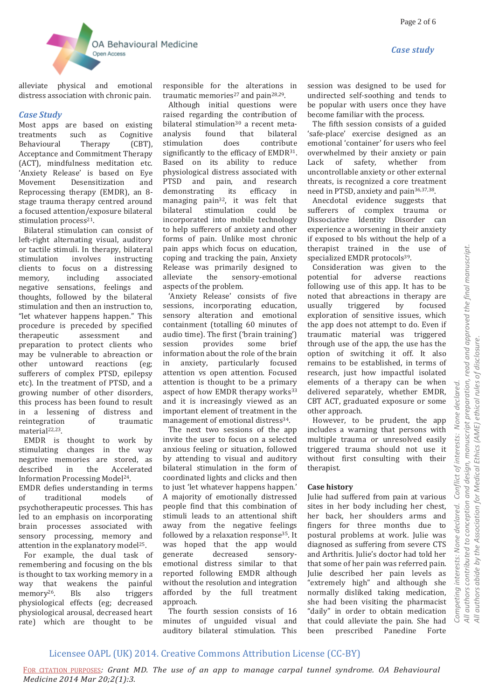*Case study*



alleviate physical and emotional distress association with chronic pain.

#### *Case Study*

Most apps are based on existing treatments such as Cognitive Behavioural Therapy (CBT), Acceptance and Commitment Therapy (ACT), mindfulness meditation etc. 'Anxiety Release' is based on Eye Movement Desensitization and Reprocessing therapy (EMDR), an 8 stage trauma therapy centred around a focused attention/exposure bilateral stimulation process<sup>21</sup>.

 Bilateral stimulation can consist of left-right alternating visual, auditory or tactile stimuli. In therapy, bilateral stimulation involves instructing clients to focus on a distressing memory, including associated negative sensations, feelings and thoughts, followed by the bilateral stimulation and then an instruction to, "let whatever happens happen." This procedure is preceded by specified therapeutic assessment and preparation to protect clients who may be vulnerable to abreaction or other untoward reactions (eg; sufferers of complex PTSD, epilepsy etc). In the treatment of PTSD, and a growing number of other disorders, this process has been found to result in a lessening of distress and reintegration of traumatic material<sup>22,23</sup>.

 EMDR is thought to work by stimulating changes in the way negative memories are stored, as described in the Accelerated Information Processing Model24.

EMDR defies understanding in terms of traditional models of psychotherapeutic processes. This has led to an emphasis on incorporating brain processes associated with sensory processing, memory and attention in the explanatory model<sup>25</sup>.

 For example, the dual task of remembering and focusing on the bls is thought to tax working memory in a way that weakens the painful memory<sup>26</sup>. Bls also triggers physiological effects (eg; decreased physiological arousal, decreased heart rate) which are thought to be responsible for the alterations in traumatic memories<sup>27</sup> and pain<sup>28,29</sup>.

 Although initial questions were raised regarding the contribution of bilateral stimulation<sup>30</sup> a recent metaanalysis found that bilateral stimulation does contribute significantly to the efficacy of EMDR<sup>31</sup>. Based on its ability to reduce physiological distress associated with PTSD and pain, and research demonstrating its efficacy in managing pain32, it was felt that bilateral stimulation could be incorporated into mobile technology to help sufferers of anxiety and other forms of pain. Unlike most chronic pain apps which focus on education, coping and tracking the pain, Anxiety Release was primarily designed to alleviate the sensory-emotional aspects of the problem.

 'Anxiety Release' consists of five sessions, incorporating education, sensory alteration and emotional containment (totalling 60 minutes of audio time). The first ('brain training') session provides some brief information about the role of the brain in anxiety, particularly focused attention vs open attention. Focused attention is thought to be a primary aspect of how EMDR therapy works<sup>33</sup> and it is increasingly viewed as an important element of treatment in the management of emotional distress<sup>34</sup>.

 The next two sessions of the app invite the user to focus on a selected anxious feeling or situation, followed by attending to visual and auditory bilateral stimulation in the form of coordinated lights and clicks and then to just 'let whatever happens happen.' A majority of emotionally distressed people find that this combination of stimuli leads to an attentional shift away from the negative feelings followed by a relaxation response<sup>35</sup>. It was hoped that the app would generate decreased sensoryemotional distress similar to that reported following EMDR although without the resolution and integration afforded by the full treatment approach.

 The fourth session consists of 16 minutes of unguided visual and auditory bilateral stimulation. This session was designed to be used for undirected self-soothing and tends to be popular with users once they have become familiar with the process.

 The fifth session consists of a guided 'safe-place' exercise designed as an emotional 'container' for users who feel overwhelmed by their anxiety or pain Lack of safety, whether from uncontrollable anxiety or other external threats, is recognized a core treatment need in PTSD, anxiety and pain36,37,38.

 Anecdotal evidence suggests that sufferers of complex trauma or Dissociative Identity Disorder can experience a worsening in their anxiety if exposed to bls without the help of a therapist trained in the use of specialized EMDR protocols<sup>39</sup>.

 Consideration was given to the potential for adverse reactions following use of this app. It has to be noted that abreactions in therapy are usually triggered by focused exploration of sensitive issues, which the app does not attempt to do. Even if traumatic material was triggered through use of the app, the use has the option of switching it off. It also remains to be established, in terms of research, just how impactful isolated elements of a therapy can be when delivered separately, whether EMDR, CBT ACT, graduated exposure or some other approach.

 However, to be prudent, the app includes a warning that persons with multiple trauma or unresolved easily triggered trauma should not use it without first consulting with their therapist.

#### **Case history**

Julie had suffered from pain at various sites in her body including her chest, her back, her shoulders arms and fingers for three months due to postural problems at work. Julie was diagnosed as suffering from severe CTS and Arthritis. Julie's doctor had told her that some of her pain was referred pain. Julie described her pain levels as "extremely high" and although she normally disliked taking medication, she had been visiting the pharmacist "daily" in order to obtain medication that could alleviate the pain. She had been prescribed Panedine Forte

## Licensee OAPL (UK) 2014. Creative Commons Attribution License (CC-BY)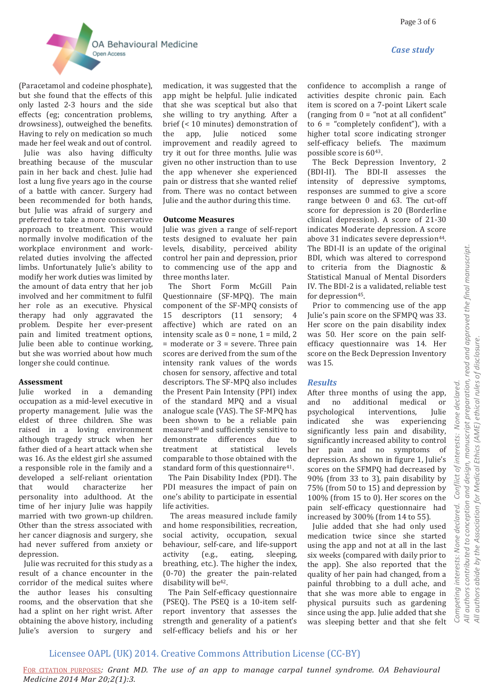



(Paracetamol and codeine phosphate), but she found that the effects of this only lasted 2-3 hours and the side effects (eg; concentration problems, drowsiness), outweighed the benefits. Having to rely on medication so much made her feel weak and out of control.

 Julie was also having difficulty breathing because of the muscular pain in her back and chest. Julie had lost a lung five years ago in the course of a battle with cancer. Surgery had been recommended for both hands, but Julie was afraid of surgery and preferred to take a more conservative approach to treatment. This would normally involve modification of the workplace environment and workrelated duties involving the affected limbs. Unfortunately Julie's ability to modify her work duties was limited by the amount of data entry that her job involved and her commitment to fulfil her role as an executive. Physical therapy had only aggravated the problem. Despite her ever-present pain and limited treatment options, Julie been able to continue working, but she was worried about how much longer she could continue.

#### **Assessment**

Julie worked in a demanding occupation as a mid-level executive in property management. Julie was the eldest of three children. She was raised in a loving environment although tragedy struck when her father died of a heart attack when she was 16. As the eldest girl she assumed a responsible role in the family and a developed a self-reliant orientation that would characterize her personality into adulthood. At the time of her injury Julie was happily married with two grown-up children. Other than the stress associated with her cancer diagnosis and surgery, she had never suffered from anxiety or depression.

 Julie was recruited for this study as a result of a chance encounter in the corridor of the medical suites where the author leases his consulting rooms, and the observation that she had a splint on her right wrist. After obtaining the above history, including Julie's aversion to surgery and

medication, it was suggested that the app might be helpful. Julie indicated that she was sceptical but also that she willing to try anything. After a brief (< 10 minutes) demonstration of the app, Julie noticed some improvement and readily agreed to try it out for three months. Julie was given no other instruction than to use the app whenever she experienced pain or distress that she wanted relief from. There was no contact between Julie and the author during this time.

#### **Outcome Measures**

Julie was given a range of self-report tests designed to evaluate her pain levels, disability, perceived ability control her pain and depression, prior to commencing use of the app and three months later.

 The Short Form McGill Pain Questionnaire (SF-MPQ). The main component of the SF-MPQ consists of 15 descriptors (11 sensory; 4 affective) which are rated on an intensity scale as  $0 =$  none,  $1 =$  mild, 2 = moderate or 3 = severe. Three pain scores are derived from the sum of the intensity rank values of the words chosen for sensory, affective and total descriptors. The SF-MPQ also includes the Present Pain Intensity (PPI) index of the standard MPQ and a visual analogue scale (VAS). The SF-MPQ has been shown to be a reliable pain measure<sup>40</sup> and sufficiently sensitive to demonstrate differences due to treatment at statistical levels comparable to those obtained with the standard form of this questionnaire<sup>41</sup>.

 The Pain Disability Index (PDI). The PDI measures the impact of pain on one's ability to participate in essential life activities.

 The areas measured include family and home responsibilities, recreation, social activity, occupation, sexual behaviour, self-care, and life-support activity (e.g., eating, sleeping, breathing, etc.). The higher the index, (0-70) the greater the pain-related disability will be<sup>42</sup>.

 The Pain Self-efficacy questionnaire (PSEQ). The PSEQ is a 10-item selfreport inventory that assesses the strength and generality of a patient's self-efficacy beliefs and his or her confidence to accomplish a range of activities despite chronic pain. Each item is scored on a 7-point Likert scale (ranging from  $0 =$  "not at all confident" to  $6 =$  "completely confident"), with a higher total score indicating stronger self-efficacy beliefs. The maximum possible score is 6043.

 The Beck Depression Inventory, 2 (BDI-II). The BDI-II assesses the intensity of depressive symptoms, responses are summed to give a score range between 0 and 63. The cut-off score for depression is 20 (Borderline clinical depression). A score of 21-30 indicates Moderate depression. A score above 31 indicates severe depression<sup>44</sup>. The BDI-II is an update of the original BDI, which was altered to correspond to criteria from the Diagnostic & Statistical Manual of Mental Disorders IV. The BDI-2 is a validated, reliable test for depression<sup>45</sup>.

 Prior to commencing use of the app Julie's pain score on the SFMPQ was 33. Her score on the pain disability index was 50. Her score on the pain selfefficacy questionnaire was 14. Her score on the Beck Depression Inventory was 15.

#### *Results*

After three months of using the app, and no additional medical or psychological interventions, Julie indicated she was experiencing significantly less pain and disability, significantly increased ability to control her pain and no symptoms of depression. As shown in figure 1, Julie's scores on the SFMPQ had decreased by 90% (from 33 to 3), pain disability by 75% (from 50 to 15) and depression by 100% (from 15 to 0). Her scores on the pain self-efficacy questionnaire had increased by 300% (from 14 to 55).

 Julie added that she had only used medication twice since she started using the app and not at all in the last six weeks (compared with daily prior to the app). She also reported that the quality of her pain had changed, from a painful throbbing to a dull ache, and that she was more able to engage in physical pursuits such as gardening since using the app. Julie added that she was sleeping better and that she felt

## Licensee OAPL (UK) 2014. Creative Commons Attribution License (CC-BY)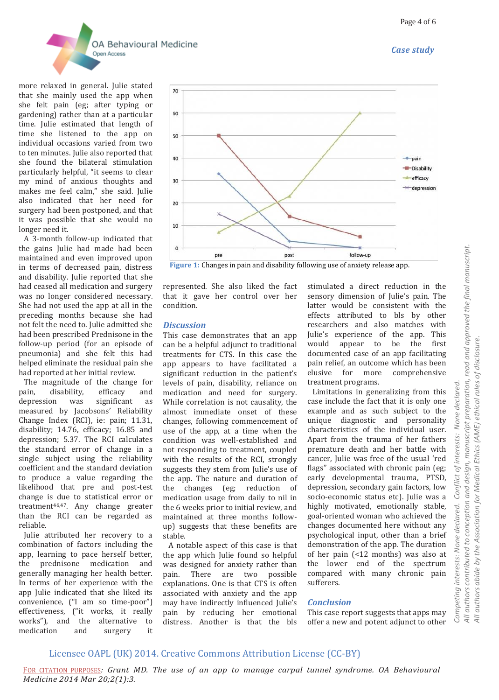



more relaxed in general. Julie stated that she mainly used the app when she felt pain (eg; after typing or gardening) rather than at a particular time. Julie estimated that length of time she listened to the app on individual occasions varied from two to ten minutes. Julie also reported that she found the bilateral stimulation particularly helpful, "it seems to clear my mind of anxious thoughts and makes me feel calm," she said. Julie also indicated that her need for surgery had been postponed, and that it was possible that she would no longer need it.

 A 3-month follow-up indicated that the gains Julie had made had been maintained and even improved upon in terms of decreased pain, distress and disability. Julie reported that she had ceased all medication and surgery was no longer considered necessary. She had not used the app at all in the preceding months because she had not felt the need to. Julie admitted she had been prescribed Prednisone in the follow-up period (for an episode of pneumonia) and she felt this had helped eliminate the residual pain she had reported at her initial review.

 The magnitude of the change for pain, disability, efficacy and depression was significant as measured by Jacobsons' Reliability Change Index (RCI), ie: pain; 11.31, disability; 14.76, efficacy; 16.85 and depression; 5.37. The RCI calculates the standard error of change in a single subject using the reliability coefficient and the standard deviation to produce a value regarding the likelihood that pre and post-test change is due to statistical error or treatment46,47. Any change greater than the RCI can be regarded as reliable.

 Julie attributed her recovery to a combination of factors including the app, learning to pace herself better, the prednisone medication and generally managing her health better. In terms of her experience with the app Julie indicated that she liked its convenience, ("I am so time-poor") effectiveness, ("it works, it really works"), and the alternative to medication and surgery it



**Figure 1:** Changes in pain and disability following use of anxiety release app.

represented. She also liked the fact that it gave her control over her condition.

#### *Discussion*

This case demonstrates that an app can be a helpful adjunct to traditional treatments for CTS. In this case the app appears to have facilitated a significant reduction in the patient's levels of pain, disability, reliance on medication and need for surgery. While correlation is not causality, the almost immediate onset of these changes, following commencement of use of the app, at a time when the condition was well-established and not responding to treatment, coupled with the results of the RCI, strongly suggests they stem from Julie's use of the app. The nature and duration of the changes (eg; reduction of medication usage from daily to nil in the 6 weeks prior to initial review, and maintained at three months followup) suggests that these benefits are stable.

 A notable aspect of this case is that the app which Julie found so helpful was designed for anxiety rather than pain. There are two possible explanations. One is that CTS is often associated with anxiety and the app may have indirectly influenced Julie's pain by reducing her emotional distress. Another is that the bls

stimulated a direct reduction in the sensory dimension of Julie's pain. The latter would be consistent with the effects attributed to bls by other researchers and also matches with Julie's experience of the app. This would appear to be the first documented case of an app facilitating pain relief, an outcome which has been elusive for more comprehensive treatment programs.

 Limitations in generalizing from this case include the fact that it is only one example and as such subject to the unique diagnostic and personality characteristics of the individual user. Apart from the trauma of her fathers premature death and her battle with cancer, Julie was free of the usual 'red flags" associated with chronic pain (eg; early developmental trauma, PTSD, depression, secondary gain factors, low socio-economic status etc). Julie was a highly motivated, emotionally stable, goal-oriented woman who achieved the changes documented here without any psychological input, other than a brief demonstration of the app. The duration of her pain (<12 months) was also at the lower end of the spectrum compared with many chronic pain sufferers.

#### *Conclusion*

This case report suggests that apps may offer a new and potent adjunct to other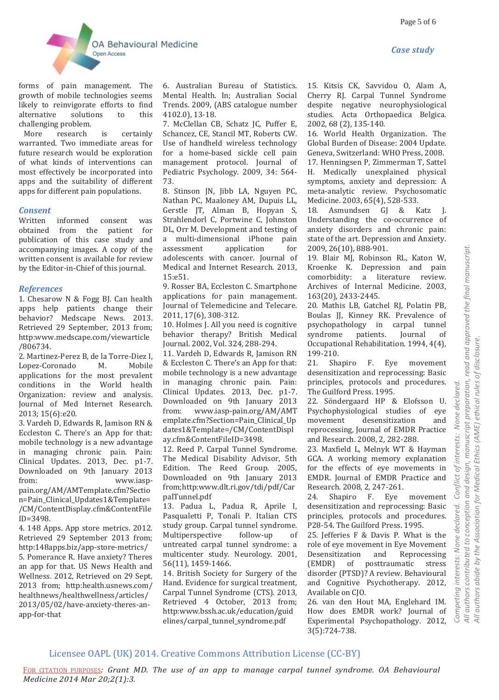



forms of pain management. The growth of mobile technologies seems likely to reinvigorate efforts to find alternative solutions to this challenging problem.

 More research is certainly warranted. Two immediate areas for future research would be exploration of what kinds of interventions can most effectively be incorporated into apps and the suitability of different apps for different pain populations.

#### *Consent*

Written informed consent was obtained from the patient for publication of this case study and accompanying images. A copy of the written consent is available for review by the Editor-in-Chief of this journal.

## *References*

1. Chesarow N & Fogg BJ. Can health apps help patients change their behavior? Medscape News. 2013. Retrieved 29 September, 2013 from; http:www.medscape.com/viewarticle /806734.

2. Martinez-Perez B, de la Torre-Diez I, Lopez-Coronado M. Mobile applications for the most prevalent conditions in the World health Organization: review and analysis. Journal of Med Internet Research. 2013; 15(6):e20.

3. Vardeh D, Edwards R, Jamison RN & Eccleston C. There's an App for that: mobile technology is a new advantage in managing chronic pain. Pain: Clinical Updates. 2013, Dec. p1-7. Downloaded on 9th January 2013 from: www.iasppain.org/AM/AMTemplate.cfm?Sectio n=Pain\_Clinical\_Updates1&Template= /CM/ContentDisplay.cfm&ContentFile ID=3498.

4. 148 Apps. App store metrics. 2012. Retrieved 29 September 2013 from; http:148apps.biz/app-store-metrics/ 5. Pomerance R. Have anxiety? Theres an app for that. US News Health and Wellness. 2012, Retrieved on 29 Sept. 2013 from; http:health.usnews.com/ healthnews/healthwellness/articles/ 2013/05/02/have-anxiety-theres-anapp-for-that

6. Australian Bureau of Statistics. Mental Health. In; Australian Social Trends. 2009, (ABS catalogue number 4102.0), 13-18.

7. McClellan CB, Schatz JC, Puffer E, Schancez, CE, Stancil MT, Roberts CW. Use of handheld wireless technology for a home-based sickle cell pain management protocol. Journal of Pediatric Psychology. 2009, 34: 564- 73.

8. Stinson JN, Jibb LA, Nguyen PC, Nathan PC, Maaloney AM, Dupuis LL, Gerstle JT, Alman B, Hopyan S, Strahlendorl C, Portwine C, Johnston DL, Orr M. Development and testing of a multi-dimensional iPhone pain assessment application for adolescents with cancer. Journal of Medical and Internet Research. 2013, 15:e51.

9. Rosser BA, Eccleston C. Smartphone applications for pain management. Journal of Telemedicine and Telecare. 2011, 17(6), 308-312.

10. Holmes J. All you need is cognitive behavior therapy? British Medical Journal. 2002, Vol. 324, 288-294.

11. Vardeh D, Edwards R, Jamison RN & Eccleston C. There's an App for that: mobile technology is a new advantage in managing chronic pain. Pain: Clinical Updates. 2013, Dec. p1-7. Downloaded on 9th January 2013 from: www.iasp-pain.org/AM/AMT emplate.cfm?Section=Pain\_Clinical\_Up dates1&Template=/CM/ContentDispl ay.cfm&ContentFileID=3498.

12. Reed P. Carpal Tunnel Syndrome. The Medical Disability Advisor, 5th Edition. The Reed Group. 2005, Downloaded on 9th January 2013 from;http:www.dlt.ri.gov/tdi/pdf/Car palTunnel.pdf

13. Padua L, Padua R, Aprile I, Pasqualetti P, Tonali P. Italian CTS study group. Carpal tunnel syndrome. Multiperspective follow-up of untreated carpal tunnel syndrome: a multicenter study. Neurology. 2001, 56(11), 1459-1466.

14. British Society for Surgery of the Hand. Evidence for surgical treatment, Carpal Tunnel Syndrome (CTS). 2013, Retrieved 4 October, 2013 from; http:www.bssh.ac.uk/education/guid elines/carpal\_tunnel\_syndrome.pdf

15. Kitsis CK, Savvidou O, Alam A, Cherry RJ. Carpal Tunnel Syndrome despite negative neurophysiological studies. Acta Orthopaedica Belgica. 2002, 68 (2), 135-140.

16. World Health Organization. The Global Burden of Disease: 2004 Update. Geneva, Switzerland: WHO Press, 2008. 17. Henningsen P, Zimmerman T, Sattel H. Medically unexplained physical symptoms, anxiety and depression: A meta-analytic review. Psychosomatic Medicine. 2003, 65(4), 528-533.

18. Asmundsen GJ & Katz J. Understanding the co-occurrence of anxiety disorders and chronic pain: state of the art. Depression and Anxiety. 2009, 26(10), 888-901.

19. Blair MJ, Robinson RL, Katon W, Kroenke K. Depression and pain comorbidity: a literature review. Archives of Internal Medicine. 2003, 163(20), 2433-2445.

20. Mathis LB, Gatchel RJ, Polatin PB, Boulas JJ, Kinney RK. Prevalence of psychopathology in carpal tunnel syndrome patients. Journal of Occupational Rehabilitation. 1994, 4(4), 199-210.

21. Shapiro F. Eye movement desensitization and reprocessing: Basic principles, protocols and procedures. The Guilford Press. 1995.

22. Söndergaard HP & Elofsson U. Psychophysiological studies of eye movement desensitization and reprocessing, Journal of EMDR Practice and Research. 2008, 2, 282-288.

23. Maxfield L, Melnyk WT & Hayman GCA. A working memory explanation for the effects of eye movements in EMDR. Journal of EMDR Practice and Research. 2008, 2, 247-261.

24. Shapiro F. Eye movement desensitization and reprocessing: Basic principles, protocols and procedures. P28-54. The Guilford Press. 1995.

25. Jefferies F & Davis P. What is the role of eye movement in Eye Movement Desensitization and Reprocessing (EMDR) of posttraumatic stress disorder (PTSD)? A review. Behavioural and Cognitive Psychotherapy. 2012, Available on CJO.

26. van den Hout MA, Englehard IM. How does EMDR work? Journal of Experimental Psychopathology. 2012, 3(5):724-738.

## Licensee OAPL (UK) 2014. Creative Commons Attribution License (CC-BY)